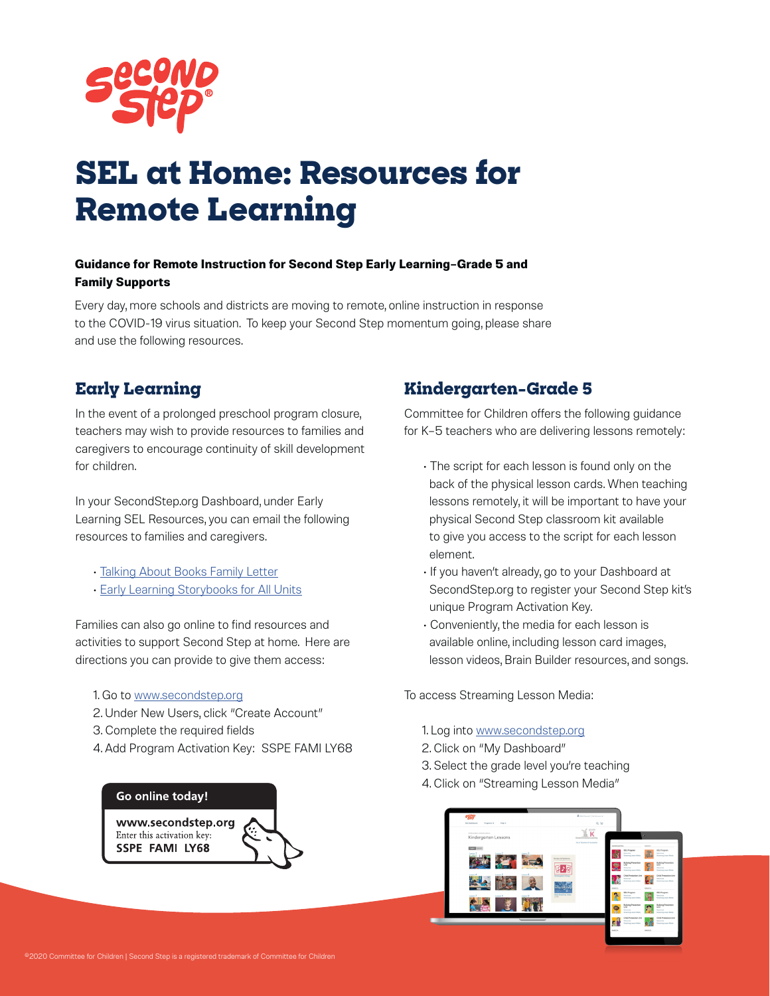

# **SEL at Home: Resources for Remote Learning**

#### **Guidance for Remote Instruction for Second Step Early Learning–Grade 5 and Family Supports**

Every day, more schools and districts are moving to remote, online instruction in response to the COVID-19 virus situation. To keep your Second Step momentum going, please share and use the following resources.

#### **Early Learning**

In the event of a prolonged preschool program closure, teachers may wish to provide resources to families and caregivers to encourage continuity of skill development for children.

In your SecondStep.org Dashboard, under Early Learning SEL Resources, you can email the following resources to families and caregivers.

- [Talking About Books Family Letter](https://app.secondstep.org/Portals/0/EL/Lesson_Materials/Family_Letters/Talking_About_Books_Letter.pdf)
- [Early Learning Storybooks for All Units](https://app.secondstep.org/early-learning/teachers-counselors/second-step-kit/downloads/weekly-theme-materials/storybooks-for-all-units)

Families can also go online to find resources and activities to support Second Step at home. Here are directions you can provide to give them access:

- 1. Go to [www.secondstep.org](http://www.secondstep.org )
- 2. Under New Users, click "Create Account"
- 3. Complete the required fields
- 4. Add Program Activation Key: SSPE FAMI LY68

#### Go online today!

www.secondstep.org Enter this activation key: **SSPE FAMI LY68** 

#### **Kindergarten–Grade 5**

Committee for Children offers the following guidance for K–5 teachers who are delivering lessons remotely:

- The script for each lesson is found only on the back of the physical lesson cards. When teaching lessons remotely, it will be important to have your physical Second Step classroom kit available to give you access to the script for each lesson element.
- If you haven't already, go to your Dashboard at SecondStep.org to register your Second Step kit's unique Program Activation Key.
- Conveniently, the media for each lesson is available online, including lesson card images, lesson videos, Brain Builder resources, and songs.

To access Streaming Lesson Media:

- 1. Log into [www.secondstep.org](http://www.secondstep.org)
- 2. Click on "My Dashboard"
- 3. Select the grade level you're teaching
- 4. Click on "Streaming Lesson Media"